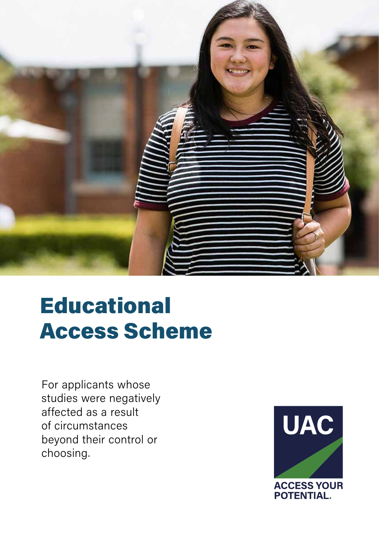

# **Educational** Access Scheme

For applicants whose studies were negatively affected as a result of circumstances beyond their control or choosing.

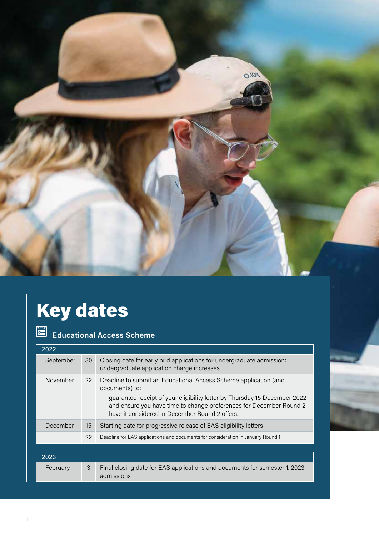

# Key dates

| <b>Educational Access Scheme</b> |    |                                                                                                                                                                                                                                                                                          |
|----------------------------------|----|------------------------------------------------------------------------------------------------------------------------------------------------------------------------------------------------------------------------------------------------------------------------------------------|
| 2022                             |    |                                                                                                                                                                                                                                                                                          |
| September                        | 30 | Closing date for early bird applications for undergraduate admission:<br>undergraduate application charge increases                                                                                                                                                                      |
| November                         | 22 | Deadline to submit an Educational Access Scheme application (and<br>documents) to:<br>guarantee receipt of your eligibility letter by Thursday 15 December 2022<br>and ensure you have time to change preferences for December Round 2<br>have it considered in December Round 2 offers. |
| December                         | 15 | Starting date for progressive release of EAS eligibility letters                                                                                                                                                                                                                         |
|                                  | 22 | Deadline for EAS applications and documents for consideration in January Round 1                                                                                                                                                                                                         |
|                                  |    |                                                                                                                                                                                                                                                                                          |
| 2023                             |    |                                                                                                                                                                                                                                                                                          |
| February                         | 3  | Final closing date for EAS applications and documents for semester 1, 2023<br>admissions                                                                                                                                                                                                 |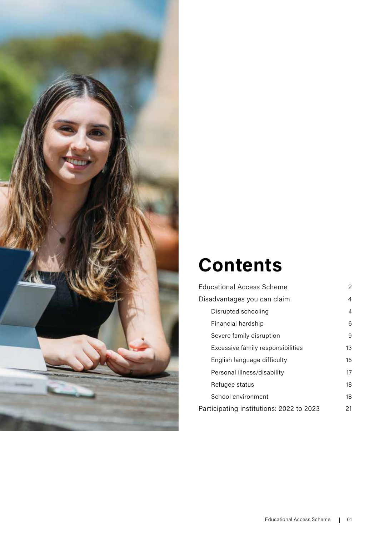

# **Contents**

| <b>Educational Access Scheme</b>         | $\mathcal{P}$ |
|------------------------------------------|---------------|
| Disadvantages you can claim              | 4             |
| Disrupted schooling                      | 4             |
| Financial hardship                       | 6             |
| Severe family disruption                 | 9             |
| Excessive family responsibilities        | 13            |
| English language difficulty              | 15            |
| Personal illness/disability              | 17            |
| Refugee status                           | 18            |
| School environment                       | 18            |
| Participating institutions: 2022 to 2023 | 21            |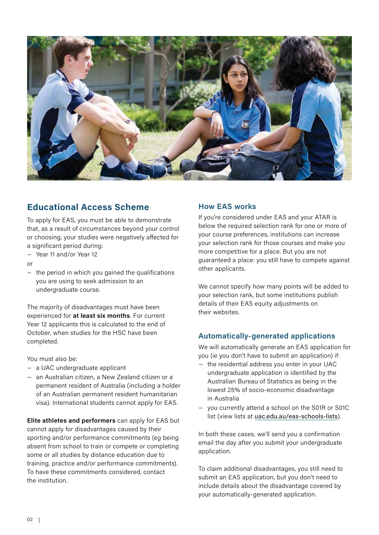

# **Educational Access Scheme**

To apply for EAS, you must be able to demonstrate that, as a result of circumstances beyond your control or choosing, your studies were negatively affected for a significant period during:

- − Year 11 and/or Year 12
- $\alpha$ r
- − the period in which you gained the qualifications you are using to seek admission to an undergraduate course.

The majority of disadvantages must have been experienced for **at least six months**. For current Year 12 applicants this is calculated to the end of October, when studies for the HSC have been completed.

You must also be:

- − a UAC undergraduate applicant
- − an Australian citizen, a New Zealand citizen or a permanent resident of Australia (including a holder of an Australian permanent resident humanitarian visa). International students cannot apply for EAS.

**Elite athletes and performers** can apply for EAS but cannot apply for disadvantages caused by their sporting and/or performance commitments (eg being absent from school to train or compete or completing some or all studies by distance education due to training, practice and/or performance commitments). To have these commitments considered, contact the institution.

#### **How EAS works**

If you're considered under EAS and your ATAR is below the required selection rank for one or more of your course preferences, institutions can increase your selection rank for those courses and make you more competitive for a place. But you are not guaranteed a place: you still have to compete against other applicants.

We cannot specify how many points will be added to your selection rank, but some institutions publish details of their EAS equity adjustments on their websites.

### **Automatically-generated applications**

We will automatically generate an EAS application for you (ie you don't have to submit an application) if:

- − the residential address you enter in your UAC undergraduate application is identified by the Australian Bureau of Statistics as being in the lowest 25% of socio-economic disadvantage in Australia
- − you currently attend a school on the S01R or S01C list (view lists at [uac.edu.au/eas-schools-lists](https://uac.edu.au/future-applicants/scholarships-and-schemes/educational-access-schemes/schools-lists)).

In both these cases, we'll send you a confirmation email the day after you submit your undergraduate application.

To claim additional disadvantages, you still need to submit an EAS application, but you don't need to include details about the disadvantage covered by your automatically-generated application.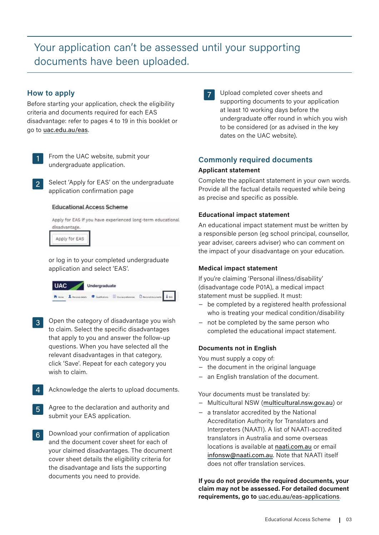# Your application can't be assessed until your supporting documents have been uploaded.

#### **How to apply**

Before starting your application, check the eligibility criteria and documents required for each EAS disadvantage: refer to pages 4 to 19 in this booklet or go to [uac.edu.au/eas](https://www.uac.edu.au/future-applicants/scholarships-and-schemes/educational-access-schemes).



From the UAC website, submit your undergraduate application.

Select 'Apply for EAS' on the undergraduate application confirmation page

#### **Educational Access Scheme**



Apply for EAS

or log in to your completed undergraduate application and select 'EAS'.

| <b>UAC</b> | Undergraduate                                   |  |
|------------|-------------------------------------------------|--|
|            | Rose American Contains Economics Demancial Lin- |  |

- Open the category of disadvantage you wish  $\overline{3}$ to claim. Select the specific disadvantages that apply to you and answer the follow-up questions. When you have selected all the relevant disadvantages in that category, click 'Save'. Repeat for each category you wish to claim.
- Acknowledge the alerts to upload documents.
- Agree to the declaration and authority and  $5<sup>1</sup>$ submit your EAS application.
- Download your confirmation of application  $6 \mid$ and the document cover sheet for each of your claimed disadvantages. The document cover sheet details the eligibility criteria for the disadvantage and lists the supporting documents you need to provide.

Upload completed cover sheets and  $\overline{7}$ supporting documents to your application at least 10 working days before the undergraduate offer round in which you wish to be considered (or as advised in the key dates on the UAC website).

#### **Commonly required documents**

#### **Applicant statement**

Complete the applicant statement in your own words. Provide all the factual details requested while being as precise and specific as possible.

#### **Educational impact statement**

An educational impact statement must be written by a responsible person (eg school principal, counsellor, year adviser, careers adviser) who can comment on the impact of your disadvantage on your education.

#### **Medical impact statement**

If you're claiming 'Personal illness/disability' (disadvantage code P01A), a medical impact statement must be supplied. It must:

- − be completed by a registered health professional who is treating your medical condition/disability
- − not be completed by the same person who completed the educational impact statement.

#### **Documents not in English**

You must supply a copy of:

- − the document in the original language
- an English translation of the document.

Your documents must be translated by:

- − Multicultural NSW ([multicultural.nsw.gov.au](https://multicultural.nsw.gov.au/)) or
- − a translator accredited by the National Accreditation Authority for Translators and Interpreters (NAATI). A list of NAATI-accredited translators in Australia and some overseas locations is available at [naati.com.au](https://www.naati.com.au/) or email [infonsw@naati.com.au](mailto:?subject=). Note that NAATI itself does not offer translation services.

**If you do not provide the required documents, your claim may not be assessed. For detailed document requirements, go to** [uac.edu.au/eas-applications](https://uac.edu.au/eas-applications).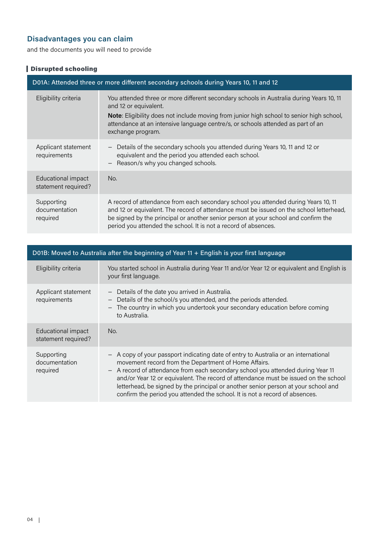# **Disadvantages you can claim**

and the documents you will need to provide

# Disrupted schooling

| D01A: Attended three or more different secondary schools during Years 10, 11 and 12 |                                                                                                                                                                                                                                                                                                                                        |  |
|-------------------------------------------------------------------------------------|----------------------------------------------------------------------------------------------------------------------------------------------------------------------------------------------------------------------------------------------------------------------------------------------------------------------------------------|--|
| Eligibility criteria                                                                | You attended three or more different secondary schools in Australia during Years 10, 11<br>and 12 or equivalent.<br><b>Note:</b> Eligibility does not include moving from junior high school to senior high school,<br>attendance at an intensive language centre/s, or schools attended as part of an<br>exchange program.            |  |
| Applicant statement<br>requirements                                                 | - Details of the secondary schools you attended during Years 10, 11 and 12 or<br>equivalent and the period you attended each school.<br>Reason/s why you changed schools.<br>$\overline{\phantom{m}}$                                                                                                                                  |  |
| Educational impact<br>statement required?                                           | No.                                                                                                                                                                                                                                                                                                                                    |  |
| Supporting<br>documentation<br>required                                             | A record of attendance from each secondary school you attended during Years 10, 11<br>and 12 or equivalent. The record of attendance must be issued on the school letterhead,<br>be signed by the principal or another senior person at your school and confirm the<br>period you attended the school. It is not a record of absences. |  |

| D01B: Moved to Australia after the beginning of Year 11 + English is your first language |                                                                                                                                                                                                                                                                                                                                                                                                                                                                                                                      |  |
|------------------------------------------------------------------------------------------|----------------------------------------------------------------------------------------------------------------------------------------------------------------------------------------------------------------------------------------------------------------------------------------------------------------------------------------------------------------------------------------------------------------------------------------------------------------------------------------------------------------------|--|
| Eligibility criteria                                                                     | You started school in Australia during Year 11 and/or Year 12 or equivalent and English is<br>your first language.                                                                                                                                                                                                                                                                                                                                                                                                   |  |
| Applicant statement<br>requirements                                                      | Details of the date you arrived in Australia.<br>$\overline{\phantom{a}}$<br>Details of the school/s you attended, and the periods attended.<br>$\qquad \qquad -$<br>The country in which you undertook your secondary education before coming<br>$\qquad \qquad -$<br>to Australia.                                                                                                                                                                                                                                 |  |
| Educational impact<br>statement required?                                                | No.                                                                                                                                                                                                                                                                                                                                                                                                                                                                                                                  |  |
| Supporting<br>documentation<br>required                                                  | - A copy of your passport indicating date of entry to Australia or an international<br>movement record from the Department of Home Affairs.<br>A record of attendance from each secondary school you attended during Year 11<br>$\overline{\phantom{m}}$<br>and/or Year 12 or equivalent. The record of attendance must be issued on the school<br>letterhead, be signed by the principal or another senior person at your school and<br>confirm the period you attended the school. It is not a record of absences. |  |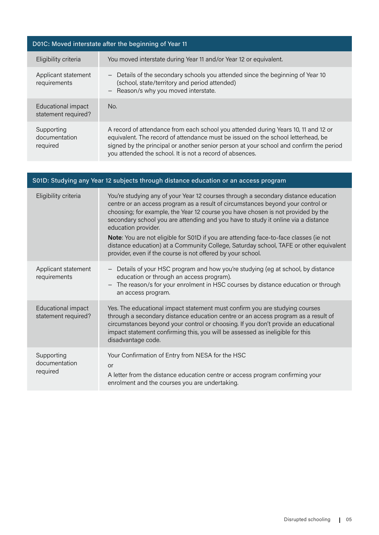| D01C: Moved interstate after the beginning of Year 11 |                                                                                                                                                                                                                                                                                                                              |  |
|-------------------------------------------------------|------------------------------------------------------------------------------------------------------------------------------------------------------------------------------------------------------------------------------------------------------------------------------------------------------------------------------|--|
| Eligibility criteria                                  | You moved interstate during Year 11 and/or Year 12 or equivalent.                                                                                                                                                                                                                                                            |  |
| Applicant statement<br>requirements                   | Details of the secondary schools you attended since the beginning of Year 10<br>$\overline{\phantom{m}}$<br>(school, state/territory and period attended)<br>Reason/s why you moved interstate.<br>$\qquad \qquad -$                                                                                                         |  |
| Educational impact<br>statement required?             | No.                                                                                                                                                                                                                                                                                                                          |  |
| Supporting<br>documentation<br>required               | A record of attendance from each school you attended during Years 10, 11 and 12 or<br>equivalent. The record of attendance must be issued on the school letterhead, be<br>signed by the principal or another senior person at your school and confirm the period<br>you attended the school. It is not a record of absences. |  |
|                                                       |                                                                                                                                                                                                                                                                                                                              |  |

| S01D: Studying any Year 12 subjects through distance education or an access program |                                                                                                                                                                                                                                                                                                                                                                                                                                                                                                                                                                                                                        |  |
|-------------------------------------------------------------------------------------|------------------------------------------------------------------------------------------------------------------------------------------------------------------------------------------------------------------------------------------------------------------------------------------------------------------------------------------------------------------------------------------------------------------------------------------------------------------------------------------------------------------------------------------------------------------------------------------------------------------------|--|
| Eligibility criteria                                                                | You're studying any of your Year 12 courses through a secondary distance education<br>centre or an access program as a result of circumstances beyond your control or<br>choosing; for example, the Year 12 course you have chosen is not provided by the<br>secondary school you are attending and you have to study it online via a distance<br>education provider.<br>Note: You are not eligible for S01D if you are attending face-to-face classes (ie not<br>distance education) at a Community College, Saturday school, TAFE or other equivalent<br>provider, even if the course is not offered by your school. |  |
| Applicant statement<br>requirements                                                 | - Details of your HSC program and how you're studying (eg at school, by distance<br>education or through an access program).<br>- The reason/s for your enrolment in HSC courses by distance education or through<br>an access program.                                                                                                                                                                                                                                                                                                                                                                                |  |
| Educational impact<br>statement required?                                           | Yes. The educational impact statement must confirm you are studying courses<br>through a secondary distance education centre or an access program as a result of<br>circumstances beyond your control or choosing. If you don't provide an educational<br>impact statement confirming this, you will be assessed as ineligible for this<br>disadvantage code.                                                                                                                                                                                                                                                          |  |
| Supporting<br>documentation<br>required                                             | Your Confirmation of Entry from NESA for the HSC<br>or<br>A letter from the distance education centre or access program confirming your<br>enrolment and the courses you are undertaking.                                                                                                                                                                                                                                                                                                                                                                                                                              |  |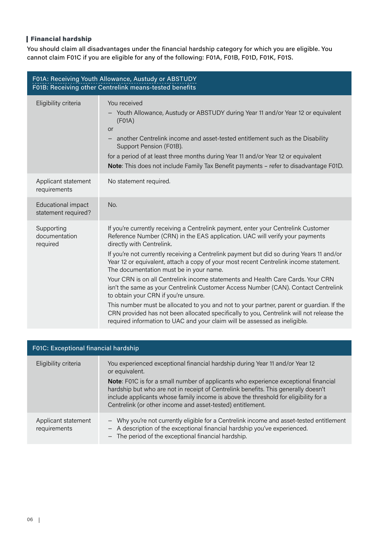# Financial hardship

You should claim all disadvantages under the financial hardship category for which you are eligible. You cannot claim F01C if you are eligible for any of the following: F01A, F01B, F01D, F01K, F01S.

| F01A: Receiving Youth Allowance, Austudy or ABSTUDY<br>F01B: Receiving other Centrelink means-tested benefits |                                                                                                                                                                                                                                                                                                                                                                                                                                                                                                                                                                                                                                                                                                                                                                                                                                                                                                                        |  |
|---------------------------------------------------------------------------------------------------------------|------------------------------------------------------------------------------------------------------------------------------------------------------------------------------------------------------------------------------------------------------------------------------------------------------------------------------------------------------------------------------------------------------------------------------------------------------------------------------------------------------------------------------------------------------------------------------------------------------------------------------------------------------------------------------------------------------------------------------------------------------------------------------------------------------------------------------------------------------------------------------------------------------------------------|--|
| Eligibility criteria                                                                                          | You received<br>- Youth Allowance, Austudy or ABSTUDY during Year 11 and/or Year 12 or equivalent<br>(F01A)<br>or<br>another Centrelink income and asset-tested entitlement such as the Disability<br>Support Pension (F01B).<br>for a period of at least three months during Year 11 and/or Year 12 or equivalent<br><b>Note:</b> This does not include Family Tax Benefit payments - refer to disadvantage F01D.                                                                                                                                                                                                                                                                                                                                                                                                                                                                                                     |  |
| Applicant statement<br>requirements                                                                           | No statement required.                                                                                                                                                                                                                                                                                                                                                                                                                                                                                                                                                                                                                                                                                                                                                                                                                                                                                                 |  |
| <b>Educational impact</b><br>statement required?                                                              | No.                                                                                                                                                                                                                                                                                                                                                                                                                                                                                                                                                                                                                                                                                                                                                                                                                                                                                                                    |  |
| Supporting<br>documentation<br>required                                                                       | If you're currently receiving a Centrelink payment, enter your Centrelink Customer<br>Reference Number (CRN) in the EAS application. UAC will verify your payments<br>directly with Centrelink.<br>If you're not currently receiving a Centrelink payment but did so during Years 11 and/or<br>Year 12 or equivalent, attach a copy of your most recent Centrelink income statement.<br>The documentation must be in your name.<br>Your CRN is on all Centrelink income statements and Health Care Cards. Your CRN<br>isn't the same as your Centrelink Customer Access Number (CAN). Contact Centrelink<br>to obtain your CRN if you're unsure.<br>This number must be allocated to you and not to your partner, parent or guardian. If the<br>CRN provided has not been allocated specifically to you, Centrelink will not release the<br>required information to UAC and your claim will be assessed as ineligible. |  |

| F01C: Exceptional financial hardship |                                                                                                                                                                                                                                                                                                                                       |  |
|--------------------------------------|---------------------------------------------------------------------------------------------------------------------------------------------------------------------------------------------------------------------------------------------------------------------------------------------------------------------------------------|--|
| Eligibility criteria                 | You experienced exceptional financial hardship during Year 11 and/or Year 12<br>or equivalent.                                                                                                                                                                                                                                        |  |
|                                      | <b>Note:</b> F01C is for a small number of applicants who experience exceptional financial<br>hardship but who are not in receipt of Centrelink benefits. This generally doesn't<br>include applicants whose family income is above the threshold for eligibility for a<br>Centrelink (or other income and asset-tested) entitlement. |  |
| Applicant statement<br>requirements  | - Why you're not currently eligible for a Centrelink income and asset-tested entitlement<br>- A description of the exceptional financial hardship you've experienced.<br>- The period of the exceptional financial hardship.                                                                                                          |  |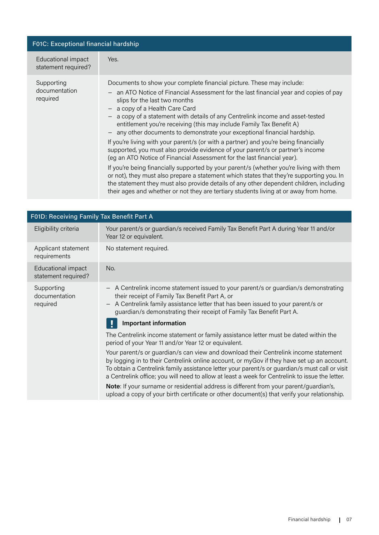| F01C: Exceptional financial hardship      |                                                                                                                                                                                                                                                                                                                                                                                                                                                                                                                                                                                                                                                                                                                         |  |
|-------------------------------------------|-------------------------------------------------------------------------------------------------------------------------------------------------------------------------------------------------------------------------------------------------------------------------------------------------------------------------------------------------------------------------------------------------------------------------------------------------------------------------------------------------------------------------------------------------------------------------------------------------------------------------------------------------------------------------------------------------------------------------|--|
| Educational impact<br>statement required? | Yes.                                                                                                                                                                                                                                                                                                                                                                                                                                                                                                                                                                                                                                                                                                                    |  |
| Supporting<br>documentation<br>required   | Documents to show your complete financial picture. These may include:<br>- an ATO Notice of Financial Assessment for the last financial year and copies of pay<br>slips for the last two months<br>a copy of a Health Care Card<br>a copy of a statement with details of any Centrelink income and asset-tested<br>entitlement you're receiving (this may include Family Tax Benefit A)<br>any other documents to demonstrate your exceptional financial hardship.<br>If you're living with your parent/s (or with a partner) and you're being financially<br>supported, you must also provide evidence of your parent/s or partner's income<br>(eg an ATO Notice of Financial Assessment for the last financial year). |  |
|                                           | If you're being financially supported by your parent/s (whether you're living with them<br>or not), they must also prepare a statement which states that they're supporting you. In<br>the statement they must also provide details of any other dependent children, including<br>their ages and whether or not they are tertiary students living at or away from home.                                                                                                                                                                                                                                                                                                                                                 |  |

| F01D: Receiving Family Tax Benefit Part A |                                                                                                                                                                                                                                                                                                                                                                                        |
|-------------------------------------------|----------------------------------------------------------------------------------------------------------------------------------------------------------------------------------------------------------------------------------------------------------------------------------------------------------------------------------------------------------------------------------------|
| Eligibility criteria                      | Your parent/s or guardian/s received Family Tax Benefit Part A during Year 11 and/or<br>Year 12 or equivalent.                                                                                                                                                                                                                                                                         |
| Applicant statement<br>requirements       | No statement required.                                                                                                                                                                                                                                                                                                                                                                 |
| Educational impact<br>statement required? | No.                                                                                                                                                                                                                                                                                                                                                                                    |
| Supporting<br>documentation<br>required   | A Centrelink income statement issued to your parent/s or guardian/s demonstrating<br>their receipt of Family Tax Benefit Part A, or<br>A Centrelink family assistance letter that has been issued to your parent/s or<br>guardian/s demonstrating their receipt of Family Tax Benefit Part A.                                                                                          |
|                                           | <b>Important information</b>                                                                                                                                                                                                                                                                                                                                                           |
|                                           | The Centrelink income statement or family assistance letter must be dated within the<br>period of your Year 11 and/or Year 12 or equivalent.                                                                                                                                                                                                                                           |
|                                           | Your parent/s or guardian/s can view and download their Centrelink income statement<br>by logging in to their Centrelink online account, or myGov if they have set up an account.<br>To obtain a Centrelink family assistance letter your parent/s or guardian/s must call or visit<br>a Centrelink office; you will need to allow at least a week for Centrelink to issue the letter. |
|                                           | Note: If your surname or residential address is different from your parent/guardian's,<br>upload a copy of your birth certificate or other document(s) that verify your relationship.                                                                                                                                                                                                  |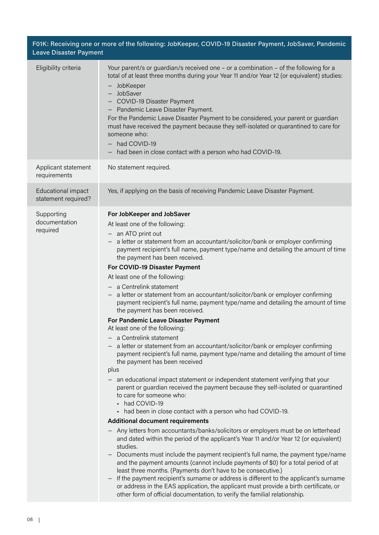| F01K: Receiving one or more of the following: JobKeeper, COVID-19 Disaster Payment, JobSaver, Pandemic<br><b>Leave Disaster Payment</b> |                                                                                                                                                                                                                                                                                                                                                                                                                                                                                                                                                                                                                                                                                                                                                                                                                                                                                                                                                                                                                                                                                                                                                                                                                                                                                                                                                                                                                                                                                                                                                                                                                                                                                                                                                                                                                                                                                                                                                             |  |
|-----------------------------------------------------------------------------------------------------------------------------------------|-------------------------------------------------------------------------------------------------------------------------------------------------------------------------------------------------------------------------------------------------------------------------------------------------------------------------------------------------------------------------------------------------------------------------------------------------------------------------------------------------------------------------------------------------------------------------------------------------------------------------------------------------------------------------------------------------------------------------------------------------------------------------------------------------------------------------------------------------------------------------------------------------------------------------------------------------------------------------------------------------------------------------------------------------------------------------------------------------------------------------------------------------------------------------------------------------------------------------------------------------------------------------------------------------------------------------------------------------------------------------------------------------------------------------------------------------------------------------------------------------------------------------------------------------------------------------------------------------------------------------------------------------------------------------------------------------------------------------------------------------------------------------------------------------------------------------------------------------------------------------------------------------------------------------------------------------------------|--|
| Eligibility criteria                                                                                                                    | Your parent/s or guardian/s received one - or a combination - of the following for a<br>total of at least three months during your Year 11 and/or Year 12 (or equivalent) studies:<br>JobKeeper<br>- JobSaver<br><b>COVID-19 Disaster Payment</b><br>- Pandemic Leave Disaster Payment.<br>For the Pandemic Leave Disaster Payment to be considered, your parent or guardian<br>must have received the payment because they self-isolated or quarantined to care for<br>someone who:<br>had COVID-19<br>$\qquad \qquad -$<br>had been in close contact with a person who had COVID-19.                                                                                                                                                                                                                                                                                                                                                                                                                                                                                                                                                                                                                                                                                                                                                                                                                                                                                                                                                                                                                                                                                                                                                                                                                                                                                                                                                                      |  |
| Applicant statement<br>requirements                                                                                                     | No statement required.                                                                                                                                                                                                                                                                                                                                                                                                                                                                                                                                                                                                                                                                                                                                                                                                                                                                                                                                                                                                                                                                                                                                                                                                                                                                                                                                                                                                                                                                                                                                                                                                                                                                                                                                                                                                                                                                                                                                      |  |
| Educational impact<br>statement required?                                                                                               | Yes, if applying on the basis of receiving Pandemic Leave Disaster Payment.                                                                                                                                                                                                                                                                                                                                                                                                                                                                                                                                                                                                                                                                                                                                                                                                                                                                                                                                                                                                                                                                                                                                                                                                                                                                                                                                                                                                                                                                                                                                                                                                                                                                                                                                                                                                                                                                                 |  |
| Supporting<br>documentation<br>required                                                                                                 | For JobKeeper and JobSaver<br>At least one of the following:<br>- an ATO print out<br>a letter or statement from an accountant/solicitor/bank or employer confirming<br>payment recipient's full name, payment type/name and detailing the amount of time<br>the payment has been received.<br>For COVID-19 Disaster Payment<br>At least one of the following:<br>- a Centrelink statement<br>- a letter or statement from an accountant/solicitor/bank or employer confirming<br>payment recipient's full name, payment type/name and detailing the amount of time<br>the payment has been received.<br><b>For Pandemic Leave Disaster Payment</b><br>At least one of the following:<br>a Centrelink statement<br>- a letter or statement from an accountant/solicitor/bank or employer confirming<br>payment recipient's full name, payment type/name and detailing the amount of time<br>the payment has been received<br>plus<br>an educational impact statement or independent statement verifying that your<br>parent or guardian received the payment because they self-isolated or quarantined<br>to care for someone who:<br>had COVID-19<br>had been in close contact with a person who had COVID-19.<br><b>Additional document requirements</b><br>Any letters from accountants/banks/solicitors or employers must be on letterhead<br>and dated within the period of the applicant's Year 11 and/or Year 12 (or equivalent)<br>studies.<br>Documents must include the payment recipient's full name, the payment type/name<br>and the payment amounts (cannot include payments of \$0) for a total period of at<br>least three months. (Payments don't have to be consecutive.)<br>If the payment recipient's surname or address is different to the applicant's surname<br>or address in the EAS application, the applicant must provide a birth certificate, or<br>other form of official documentation, to verify the familial relationship. |  |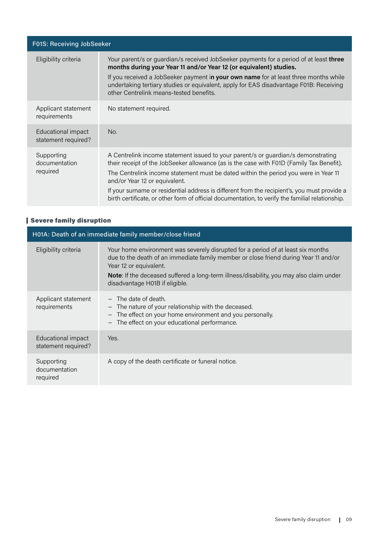| F01S: Receiving JobSeeker                 |                                                                                                                                                                                                                                                                                                                                                                                                                                                                                                           |
|-------------------------------------------|-----------------------------------------------------------------------------------------------------------------------------------------------------------------------------------------------------------------------------------------------------------------------------------------------------------------------------------------------------------------------------------------------------------------------------------------------------------------------------------------------------------|
| Eligibility criteria                      | Your parent/s or guardian/s received JobSeeker payments for a period of at least three<br>months during your Year 11 and/or Year 12 (or equivalent) studies.<br>If you received a JobSeeker payment in your own name for at least three months while<br>undertaking tertiary studies or equivalent, apply for EAS disadvantage F01B: Receiving<br>other Centrelink means-tested benefits.                                                                                                                 |
| Applicant statement<br>requirements       | No statement required.                                                                                                                                                                                                                                                                                                                                                                                                                                                                                    |
| Educational impact<br>statement required? | No.                                                                                                                                                                                                                                                                                                                                                                                                                                                                                                       |
| Supporting<br>documentation<br>required   | A Centrelink income statement issued to your parent/s or guardian/s demonstrating<br>their receipt of the JobSeeker allowance (as is the case with F01D (Family Tax Benefit).<br>The Centrelink income statement must be dated within the period you were in Year 11<br>and/or Year 12 or equivalent.<br>If your surname or residential address is different from the recipient's, you must provide a<br>birth certificate, or other form of official documentation, to verify the familial relationship. |

# Severe family disruption

| H01A: Death of an immediate family member/close friend |                                                                                                                                                                                                                                                                                                                                 |  |
|--------------------------------------------------------|---------------------------------------------------------------------------------------------------------------------------------------------------------------------------------------------------------------------------------------------------------------------------------------------------------------------------------|--|
| Eligibility criteria                                   | Your home environment was severely disrupted for a period of at least six months<br>due to the death of an immediate family member or close friend during Year 11 and/or<br>Year 12 or equivalent.<br>Note: If the deceased suffered a long-term illness/disability, you may also claim under<br>disadvantage H01B if eligible. |  |
| Applicant statement<br>requirements                    | $-$ The date of death.<br>- The nature of your relationship with the deceased.<br>The effect on your home environment and you personally.<br>The effect on your educational performance.                                                                                                                                        |  |
| Educational impact<br>statement required?              | Yes.                                                                                                                                                                                                                                                                                                                            |  |
| Supporting<br>documentation<br>required                | A copy of the death certificate or funeral notice.                                                                                                                                                                                                                                                                              |  |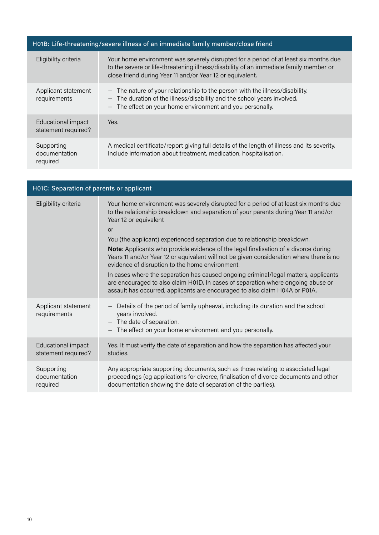# H01B: Life-threatening/severe illness of an immediate family member/close friend

| Eligibility criteria                      | Your home environment was severely disrupted for a period of at least six months due<br>to the severe or life-threatening illness/disability of an immediate family member or<br>close friend during Year 11 and/or Year 12 or equivalent. |
|-------------------------------------------|--------------------------------------------------------------------------------------------------------------------------------------------------------------------------------------------------------------------------------------------|
| Applicant statement<br>requirements       | - The nature of your relationship to the person with the illness/disability.<br>- The duration of the illness/disability and the school years involved.<br>- The effect on your home environment and you personally.                       |
| Educational impact<br>statement required? | Yes.                                                                                                                                                                                                                                       |
| Supporting<br>documentation<br>required   | A medical certificate/report giving full details of the length of illness and its severity.<br>Include information about treatment, medication, hospitalisation.                                                                           |

| H01C: Separation of parents or applicant  |                                                                                                                                                                                                                                                                                                                                                                                                                                                                                                                                                                                                                                                                                                                                                                                                     |  |
|-------------------------------------------|-----------------------------------------------------------------------------------------------------------------------------------------------------------------------------------------------------------------------------------------------------------------------------------------------------------------------------------------------------------------------------------------------------------------------------------------------------------------------------------------------------------------------------------------------------------------------------------------------------------------------------------------------------------------------------------------------------------------------------------------------------------------------------------------------------|--|
| Eligibility criteria                      | Your home environment was severely disrupted for a period of at least six months due<br>to the relationship breakdown and separation of your parents during Year 11 and/or<br>Year 12 or equivalent<br><b>or</b><br>You (the applicant) experienced separation due to relationship breakdown.<br><b>Note:</b> Applicants who provide evidence of the legal finalisation of a divorce during<br>Years 11 and/or Year 12 or equivalent will not be given consideration where there is no<br>evidence of disruption to the home environment.<br>In cases where the separation has caused ongoing criminal/legal matters, applicants<br>are encouraged to also claim H01D. In cases of separation where ongoing abuse or<br>assault has occurred, applicants are encouraged to also claim H04A or P01A. |  |
| Applicant statement<br>requirements       | Details of the period of family upheaval, including its duration and the school<br>years involved.<br>The date of separation.<br>$\overline{\phantom{m}}$<br>The effect on your home environment and you personally.                                                                                                                                                                                                                                                                                                                                                                                                                                                                                                                                                                                |  |
| Educational impact<br>statement required? | Yes. It must verify the date of separation and how the separation has affected your<br>studies.                                                                                                                                                                                                                                                                                                                                                                                                                                                                                                                                                                                                                                                                                                     |  |
| Supporting<br>documentation<br>required   | Any appropriate supporting documents, such as those relating to associated legal<br>proceedings (eg applications for divorce, finalisation of divorce documents and other<br>documentation showing the date of separation of the parties).                                                                                                                                                                                                                                                                                                                                                                                                                                                                                                                                                          |  |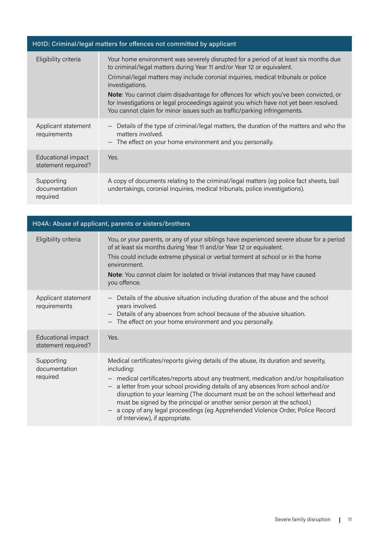| H01D: Criminal/legal matters for offences not committed by applicant |                                                                                                                                                                                                                                                                                                                                                                                                                                                                                                                                             |  |
|----------------------------------------------------------------------|---------------------------------------------------------------------------------------------------------------------------------------------------------------------------------------------------------------------------------------------------------------------------------------------------------------------------------------------------------------------------------------------------------------------------------------------------------------------------------------------------------------------------------------------|--|
| Eligibility criteria                                                 | Your home environment was severely disrupted for a period of at least six months due<br>to criminal/legal matters during Year 11 and/or Year 12 or equivalent.<br>Criminal/legal matters may include coronial inquiries, medical tribunals or police<br>investigations.<br><b>Note:</b> You cannot claim disadvantage for offences for which you've been convicted, or<br>for investigations or legal proceedings against you which have not yet been resolved.<br>You cannot claim for minor issues such as traffic/parking infringements. |  |
| Applicant statement<br>requirements                                  | Details of the type of criminal/legal matters, the duration of the matters and who the<br>$\overline{\phantom{m}}$<br>matters involved.<br>The effect on your home environment and you personally.                                                                                                                                                                                                                                                                                                                                          |  |
| Educational impact<br>statement required?                            | Yes.                                                                                                                                                                                                                                                                                                                                                                                                                                                                                                                                        |  |
| Supporting<br>documentation<br>required                              | A copy of documents relating to the criminal/legal matters (eg police fact sheets, bail<br>undertakings, coronial inquiries, medical tribunals, police investigations).                                                                                                                                                                                                                                                                                                                                                                     |  |

| H04A: Abuse of applicant, parents or sisters/brothers |                                                                                                                                                                                                                                                                                                                                                                                                                                                                                                                                                                                                                 |
|-------------------------------------------------------|-----------------------------------------------------------------------------------------------------------------------------------------------------------------------------------------------------------------------------------------------------------------------------------------------------------------------------------------------------------------------------------------------------------------------------------------------------------------------------------------------------------------------------------------------------------------------------------------------------------------|
| Eligibility criteria                                  | You, or your parents, or any of your siblings have experienced severe abuse for a period<br>of at least six months during Year 11 and/or Year 12 or equivalent.<br>This could include extreme physical or verbal torment at school or in the home<br>environment.<br>Note: You cannot claim for isolated or trivial instances that may have caused<br>you offence.                                                                                                                                                                                                                                              |
| Applicant statement<br>requirements                   | Details of the abusive situation including duration of the abuse and the school<br>years involved.<br>- Details of any absences from school because of the abusive situation.<br>The effect on your home environment and you personally.                                                                                                                                                                                                                                                                                                                                                                        |
| Educational impact<br>statement required?             | Yes.                                                                                                                                                                                                                                                                                                                                                                                                                                                                                                                                                                                                            |
| Supporting<br>documentation<br>required               | Medical certificates/reports giving details of the abuse, its duration and severity,<br>including:<br>- medical certificates/reports about any treatment, medication and/or hospitalisation<br>a letter from your school providing details of any absences from school and/or<br>$\overline{\phantom{m}}$<br>disruption to your learning (The document must be on the school letterhead and<br>must be signed by the principal or another senior person at the school.)<br>a copy of any legal proceedings (eg Apprehended Violence Order, Police Record<br>$\qquad \qquad -$<br>of Interview), if appropriate. |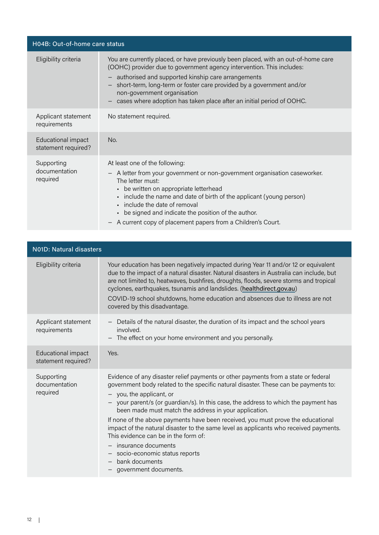| H04B: Out-of-home care status             |                                                                                                                                                                                                                                                                                                                                                                                                                                                    |
|-------------------------------------------|----------------------------------------------------------------------------------------------------------------------------------------------------------------------------------------------------------------------------------------------------------------------------------------------------------------------------------------------------------------------------------------------------------------------------------------------------|
| Eligibility criteria                      | You are currently placed, or have previously been placed, with an out-of-home care<br>(OOHC) provider due to government agency intervention. This includes:<br>authorised and supported kinship care arrangements<br>$\overline{\phantom{0}}$<br>short-term, long-term or foster care provided by a government and/or<br>$\qquad \qquad -$<br>non-government organisation<br>cases where adoption has taken place after an initial period of OOHC. |
| Applicant statement<br>requirements       | No statement required.                                                                                                                                                                                                                                                                                                                                                                                                                             |
| Educational impact<br>statement required? | No.                                                                                                                                                                                                                                                                                                                                                                                                                                                |
| Supporting<br>documentation<br>required   | At least one of the following:<br>A letter from your government or non-government organisation caseworker.<br>$\overline{\phantom{m}}$<br>The letter must:<br>• be written on appropriate letterhead<br>• include the name and date of birth of the applicant (young person)<br>include the date of removal<br>be signed and indicate the position of the author.<br>A current copy of placement papers from a Children's Court.                   |

| <b>N01D: Natural disasters</b>            |                                                                                                                                                                                                                                                                                                                                                                                                                                                                                                                                                                                                                                                                                   |  |
|-------------------------------------------|-----------------------------------------------------------------------------------------------------------------------------------------------------------------------------------------------------------------------------------------------------------------------------------------------------------------------------------------------------------------------------------------------------------------------------------------------------------------------------------------------------------------------------------------------------------------------------------------------------------------------------------------------------------------------------------|--|
| Eligibility criteria                      | Your education has been negatively impacted during Year 11 and/or 12 or equivalent<br>due to the impact of a natural disaster. Natural disasters in Australia can include, but<br>are not limited to, heatwaves, bushfires, droughts, floods, severe storms and tropical<br>cyclones, earthquakes, tsunamis and landslides. (healthdirect.gov.au)<br>COVID-19 school shutdowns, home education and absences due to illness are not<br>covered by this disadvantage.                                                                                                                                                                                                               |  |
| Applicant statement<br>requirements       | Details of the natural disaster, the duration of its impact and the school years<br>involved.<br>The effect on your home environment and you personally.<br>$\qquad \qquad -$                                                                                                                                                                                                                                                                                                                                                                                                                                                                                                     |  |
| Educational impact<br>statement required? | Yes.                                                                                                                                                                                                                                                                                                                                                                                                                                                                                                                                                                                                                                                                              |  |
| Supporting<br>documentation<br>required   | Evidence of any disaster relief payments or other payments from a state or federal<br>government body related to the specific natural disaster. These can be payments to:<br>- you, the applicant, or<br>- your parent/s (or guardian/s). In this case, the address to which the payment has<br>been made must match the address in your application.<br>If none of the above payments have been received, you must prove the educational<br>impact of the natural disaster to the same level as applicants who received payments.<br>This evidence can be in the form of:<br>- insurance documents<br>- socio-economic status reports<br>bank documents<br>government documents. |  |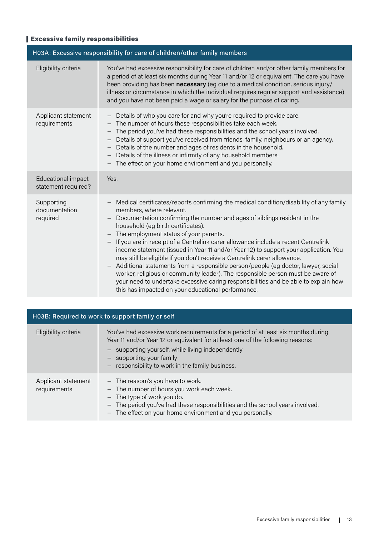# Excessive family responsibilities

| H03A: Excessive responsibility for care of children/other family members |                                                                                                                                                                                                                                                                                                                                                                                                                                                                                                                                                                                                                                                                                                                                                                                                                                                                                                          |  |
|--------------------------------------------------------------------------|----------------------------------------------------------------------------------------------------------------------------------------------------------------------------------------------------------------------------------------------------------------------------------------------------------------------------------------------------------------------------------------------------------------------------------------------------------------------------------------------------------------------------------------------------------------------------------------------------------------------------------------------------------------------------------------------------------------------------------------------------------------------------------------------------------------------------------------------------------------------------------------------------------|--|
| Eligibility criteria                                                     | You've had excessive responsibility for care of children and/or other family members for<br>a period of at least six months during Year 11 and/or 12 or equivalent. The care you have<br>been providing has been necessary (eg due to a medical condition, serious injury/<br>illness or circumstance in which the individual requires regular support and assistance)<br>and you have not been paid a wage or salary for the purpose of caring.                                                                                                                                                                                                                                                                                                                                                                                                                                                         |  |
| Applicant statement<br>requirements                                      | - Details of who you care for and why you're required to provide care.<br>The number of hours these responsibilities take each week.<br>$\overline{\phantom{m}}$<br>The period you've had these responsibilities and the school years involved.<br>$\overline{\phantom{m}}$<br>Details of support you've received from friends, family, neighbours or an agency.<br>$\overline{\phantom{m}}$<br>Details of the number and ages of residents in the household.<br>- Details of the illness or infirmity of any household members.<br>- The effect on your home environment and you personally.                                                                                                                                                                                                                                                                                                            |  |
| Educational impact<br>statement required?                                | Yes.                                                                                                                                                                                                                                                                                                                                                                                                                                                                                                                                                                                                                                                                                                                                                                                                                                                                                                     |  |
| Supporting<br>documentation<br>required                                  | Medical certificates/reports confirming the medical condition/disability of any family<br>members, where relevant.<br>Documentation confirming the number and ages of siblings resident in the<br>household (eg birth certificates).<br>- The employment status of your parents.<br>If you are in receipt of a Centrelink carer allowance include a recent Centrelink<br>$\qquad \qquad -$<br>income statement (issued in Year 11 and/or Year 12) to support your application. You<br>may still be eligible if you don't receive a Centrelink carer allowance.<br>Additional statements from a responsible person/people (eg doctor, lawyer, social<br>$\qquad \qquad -$<br>worker, religious or community leader). The responsible person must be aware of<br>your need to undertake excessive caring responsibilities and be able to explain how<br>this has impacted on your educational performance. |  |

| H03B: Required to work to support family or self |                                                                                                                                                                                                                                                                                                         |
|--------------------------------------------------|---------------------------------------------------------------------------------------------------------------------------------------------------------------------------------------------------------------------------------------------------------------------------------------------------------|
| Eligibility criteria                             | You've had excessive work requirements for a period of at least six months during<br>Year 11 and/or Year 12 or equivalent for at least one of the following reasons:<br>- supporting yourself, while living independently<br>- supporting your family<br>responsibility to work in the family business. |
| Applicant statement<br>requirements              | - The reason/s you have to work.<br>- The number of hours you work each week.<br>- The type of work you do.<br>- The period you've had these responsibilities and the school years involved.<br>The effect on your home environment and you personally.                                                 |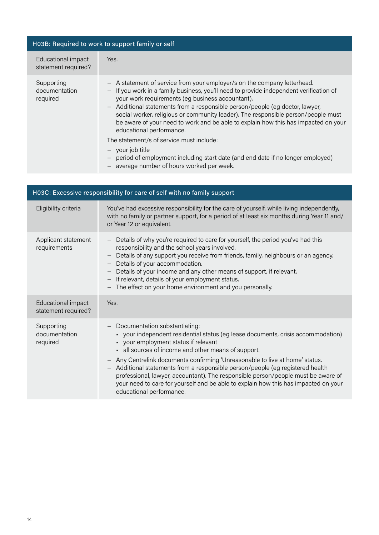| H03B: Required to work to support family or self |                                                                                                                                                                                                                                                                                                                                                                                                                                                                                                               |
|--------------------------------------------------|---------------------------------------------------------------------------------------------------------------------------------------------------------------------------------------------------------------------------------------------------------------------------------------------------------------------------------------------------------------------------------------------------------------------------------------------------------------------------------------------------------------|
| Educational impact<br>statement required?        | Yes.                                                                                                                                                                                                                                                                                                                                                                                                                                                                                                          |
| Supporting<br>documentation<br>required          | - A statement of service from your employer/s on the company letterhead.<br>- If you work in a family business, you'll need to provide independent verification of<br>your work requirements (eg business accountant).<br>- Additional statements from a responsible person/people (eg doctor, lawyer,<br>social worker, religious or community leader). The responsible person/people must<br>be aware of your need to work and be able to explain how this has impacted on your<br>educational performance. |
|                                                  | The statement/s of service must include:<br>$-$ your job title<br>period of employment including start date (and end date if no longer employed)<br>average number of hours worked per week.                                                                                                                                                                                                                                                                                                                  |

| H03C: Excessive responsibility for care of self with no family support |                                                                                                                                                                                                                                                                                                                                                                                                                                                                                                                                                                                      |
|------------------------------------------------------------------------|--------------------------------------------------------------------------------------------------------------------------------------------------------------------------------------------------------------------------------------------------------------------------------------------------------------------------------------------------------------------------------------------------------------------------------------------------------------------------------------------------------------------------------------------------------------------------------------|
| Eligibility criteria                                                   | You've had excessive responsibility for the care of yourself, while living independently,<br>with no family or partner support, for a period of at least six months during Year 11 and/<br>or Year 12 or equivalent.                                                                                                                                                                                                                                                                                                                                                                 |
| Applicant statement<br>requirements                                    | Details of why you're required to care for yourself, the period you've had this<br>$\overline{\phantom{m}}$<br>responsibility and the school years involved.<br>Details of any support you receive from friends, family, neighbours or an agency.<br>Details of your accommodation.<br>Details of your income and any other means of support, if relevant.<br>If relevant, details of your employment status.<br>The effect on your home environment and you personally.                                                                                                             |
| Educational impact<br>statement required?                              | Yes.                                                                                                                                                                                                                                                                                                                                                                                                                                                                                                                                                                                 |
| Supporting<br>documentation<br>required                                | Documentation substantiating:<br>• your independent residential status (eg lease documents, crisis accommodation)<br>• your employment status if relevant<br>all sources of income and other means of support.<br>Any Centrelink documents confirming 'Unreasonable to live at home' status.<br>Additional statements from a responsible person/people (eg registered health<br>professional, lawyer, accountant). The responsible person/people must be aware of<br>your need to care for yourself and be able to explain how this has impacted on your<br>educational performance. |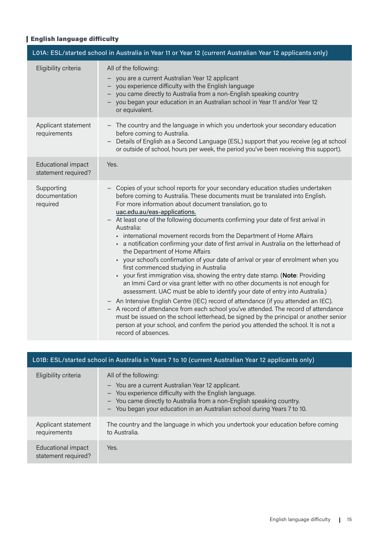# English language difficulty

| L01A: ESL/started school in Australia in Year 11 or Year 12 (current Australian Year 12 applicants only) |                                                                                                                                                                                                                                                                                                                                                                                                                                                                                                                                                                                                                                                                                                                                                                                                                                                                                                                                                                                                                                                                                                                                                                                                                                                                                                                                       |  |
|----------------------------------------------------------------------------------------------------------|---------------------------------------------------------------------------------------------------------------------------------------------------------------------------------------------------------------------------------------------------------------------------------------------------------------------------------------------------------------------------------------------------------------------------------------------------------------------------------------------------------------------------------------------------------------------------------------------------------------------------------------------------------------------------------------------------------------------------------------------------------------------------------------------------------------------------------------------------------------------------------------------------------------------------------------------------------------------------------------------------------------------------------------------------------------------------------------------------------------------------------------------------------------------------------------------------------------------------------------------------------------------------------------------------------------------------------------|--|
| Eligibility criteria                                                                                     | All of the following:<br>- you are a current Australian Year 12 applicant<br>- you experience difficulty with the English language<br>- you came directly to Australia from a non-English speaking country<br>- you began your education in an Australian school in Year 11 and/or Year 12<br>or equivalent.                                                                                                                                                                                                                                                                                                                                                                                                                                                                                                                                                                                                                                                                                                                                                                                                                                                                                                                                                                                                                          |  |
| Applicant statement<br>requirements                                                                      | - The country and the language in which you undertook your secondary education<br>before coming to Australia.<br>Details of English as a Second Language (ESL) support that you receive (eg at school<br>or outside of school, hours per week, the period you've been receiving this support).                                                                                                                                                                                                                                                                                                                                                                                                                                                                                                                                                                                                                                                                                                                                                                                                                                                                                                                                                                                                                                        |  |
| Educational impact<br>statement required?                                                                | Yes.                                                                                                                                                                                                                                                                                                                                                                                                                                                                                                                                                                                                                                                                                                                                                                                                                                                                                                                                                                                                                                                                                                                                                                                                                                                                                                                                  |  |
| Supporting<br>documentation<br>required                                                                  | - Copies of your school reports for your secondary education studies undertaken<br>before coming to Australia. These documents must be translated into English.<br>For more information about document translation, go to<br>uac.edu.au/eas-applications.<br>- At least one of the following documents confirming your date of first arrival in<br>Australia:<br>- international movement records from the Department of Home Affairs<br>- a notification confirming your date of first arrival in Australia on the letterhead of<br>the Department of Home Affairs<br>• your school's confirmation of your date of arrival or year of enrolment when you<br>first commenced studying in Australia<br>• your first immigration visa, showing the entry date stamp. (Note: Providing<br>an Immi Card or visa grant letter with no other documents is not enough for<br>assessment. UAC must be able to identify your date of entry into Australia.)<br>- An Intensive English Centre (IEC) record of attendance (if you attended an IEC).<br>- A record of attendance from each school you've attended. The record of attendance<br>must be issued on the school letterhead, be signed by the principal or another senior<br>person at your school, and confirm the period you attended the school. It is not a<br>record of absences. |  |

| L01B: ESL/started school in Australia in Years 7 to 10 (current Australian Year 12 applicants only) |                                                                                                                                                                                                                                                                                           |  |
|-----------------------------------------------------------------------------------------------------|-------------------------------------------------------------------------------------------------------------------------------------------------------------------------------------------------------------------------------------------------------------------------------------------|--|
| Eligibility criteria                                                                                | All of the following:<br>- You are a current Australian Year 12 applicant.<br>- You experience difficulty with the English language.<br>- You came directly to Australia from a non-English speaking country.<br>- You began your education in an Australian school during Years 7 to 10. |  |
| Applicant statement<br>requirements                                                                 | The country and the language in which you undertook your education before coming<br>to Australia.                                                                                                                                                                                         |  |
| Educational impact<br>statement required?                                                           | Yes.                                                                                                                                                                                                                                                                                      |  |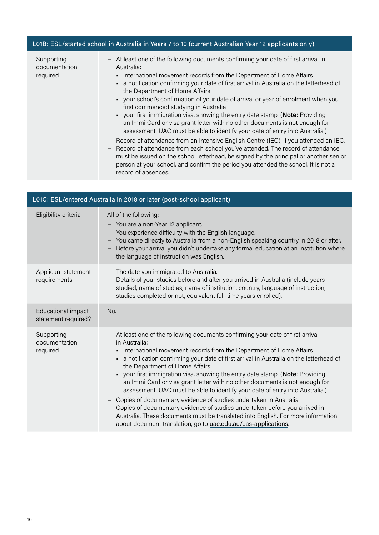#### L01B: ESL/started school in Australia in Years 7 to 10 (current Australian Year 12 applicants only)

Supporting documentation required

- − At least one of the following documents confirming your date of first arrival in Australia:
	- international movement records from the Department of Home Affairs
	- a notification confirming your date of first arrival in Australia on the letterhead of the Department of Home Affairs
	- your school's confirmation of your date of arrival or year of enrolment when you first commenced studying in Australia
	- your first immigration visa, showing the entry date stamp. (**Note:** Providing an Immi Card or visa grant letter with no other documents is not enough for assessment. UAC must be able to identify your date of entry into Australia.)
- − Record of attendance from an Intensive English Centre (IEC), if you attended an IEC.
- − Record of attendance from each school you've attended. The record of attendance must be issued on the school letterhead, be signed by the principal or another senior person at your school, and confirm the period you attended the school. It is not a record of absences.

| L01C: ESL/entered Australia in 2018 or later (post-school applicant) |                                                                                                                                                                                                                                                                                                                                                                                                                                                                                                                                                                                                                                                                                                                                                                                                                                                                                                     |  |
|----------------------------------------------------------------------|-----------------------------------------------------------------------------------------------------------------------------------------------------------------------------------------------------------------------------------------------------------------------------------------------------------------------------------------------------------------------------------------------------------------------------------------------------------------------------------------------------------------------------------------------------------------------------------------------------------------------------------------------------------------------------------------------------------------------------------------------------------------------------------------------------------------------------------------------------------------------------------------------------|--|
| Eligibility criteria                                                 | All of the following:<br>- You are a non-Year 12 applicant.<br>You experience difficulty with the English language.<br>$\qquad \qquad -$<br>- You came directly to Australia from a non-English speaking country in 2018 or after.<br>Before your arrival you didn't undertake any formal education at an institution where<br>$\qquad \qquad -$<br>the language of instruction was English.                                                                                                                                                                                                                                                                                                                                                                                                                                                                                                        |  |
| Applicant statement<br>requirements                                  | - The date you immigrated to Australia.<br>Details of your studies before and after you arrived in Australia (include years<br>$\qquad \qquad -$<br>studied, name of studies, name of institution, country, language of instruction,<br>studies completed or not, equivalent full-time years enrolled).                                                                                                                                                                                                                                                                                                                                                                                                                                                                                                                                                                                             |  |
| Educational impact<br>statement required?                            | No.                                                                                                                                                                                                                                                                                                                                                                                                                                                                                                                                                                                                                                                                                                                                                                                                                                                                                                 |  |
| Supporting<br>documentation<br>required                              | At least one of the following documents confirming your date of first arrival<br>in Australia:<br>international movement records from the Department of Home Affairs<br>$\blacksquare$<br>a notification confirming your date of first arrival in Australia on the letterhead of<br>٠<br>the Department of Home Affairs<br>your first immigration visa, showing the entry date stamp. (Note: Providing<br>$\blacksquare$<br>an Immi Card or visa grant letter with no other documents is not enough for<br>assessment. UAC must be able to identify your date of entry into Australia.)<br>- Copies of documentary evidence of studies undertaken in Australia.<br>Copies of documentary evidence of studies undertaken before you arrived in<br>Australia. These documents must be translated into English. For more information<br>about document translation, go to uac.edu.au/eas-applications. |  |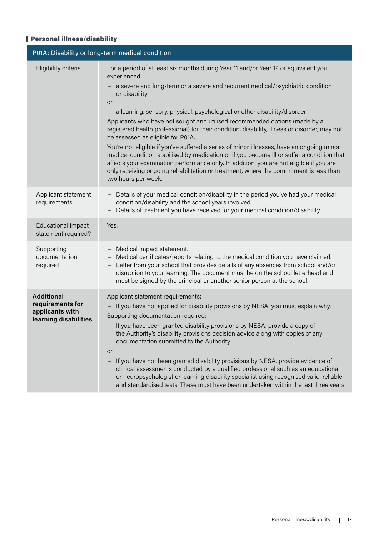### Personal illness/disability

| P01A: Disability or long-term medical condition                                   |                                                                                                                                                                                                                                                                                                                                                                                                                                                                                                                                                                                                                                                                                                                                                                                                                                                                                                                        |  |
|-----------------------------------------------------------------------------------|------------------------------------------------------------------------------------------------------------------------------------------------------------------------------------------------------------------------------------------------------------------------------------------------------------------------------------------------------------------------------------------------------------------------------------------------------------------------------------------------------------------------------------------------------------------------------------------------------------------------------------------------------------------------------------------------------------------------------------------------------------------------------------------------------------------------------------------------------------------------------------------------------------------------|--|
| Eligibility criteria                                                              | For a period of at least six months during Year 11 and/or Year 12 or equivalent you<br>experienced:<br>- a severe and long-term or a severe and recurrent medical/psychiatric condition<br>or disability<br>or<br>a learning, sensory, physical, psychological or other disability/disorder.<br>Applicants who have not sought and utilised recommended options (made by a<br>registered health professional) for their condition, disability, illness or disorder, may not<br>be assessed as eligible for P01A.<br>You're not eligible if you've suffered a series of minor illnesses, have an ongoing minor<br>medical condition stabilised by medication or if you become ill or suffer a condition that<br>affects your examination performance only. In addition, you are not eligible if you are<br>only receiving ongoing rehabilitation or treatment, where the commitment is less than<br>two hours per week. |  |
| Applicant statement<br>requirements                                               | - Details of your medical condition/disability in the period you've had your medical<br>condition/disability and the school years involved.<br>Details of treatment you have received for your medical condition/disability.                                                                                                                                                                                                                                                                                                                                                                                                                                                                                                                                                                                                                                                                                           |  |
| Educational impact<br>statement required?                                         | Yes.                                                                                                                                                                                                                                                                                                                                                                                                                                                                                                                                                                                                                                                                                                                                                                                                                                                                                                                   |  |
| Supporting<br>documentation<br>required                                           | - Medical impact statement.<br>Medical certificates/reports relating to the medical condition you have claimed.<br>Letter from your school that provides details of any absences from school and/or<br>disruption to your learning. The document must be on the school letterhead and<br>must be signed by the principal or another senior person at the school.                                                                                                                                                                                                                                                                                                                                                                                                                                                                                                                                                       |  |
| <b>Additional</b><br>requirements for<br>applicants with<br>learning disabilities | Applicant statement requirements:<br>- If you have not applied for disability provisions by NESA, you must explain why.<br>Supporting documentation required:<br>- If you have been granted disability provisions by NESA, provide a copy of<br>the Authority's disability provisions decision advice along with copies of any<br>documentation submitted to the Authority<br><b>or</b><br>If you have not been granted disability provisions by NESA, provide evidence of<br>clinical assessments conducted by a qualified professional such as an educational<br>or neuropsychologist or learning disability specialist using recognised valid, reliable<br>and standardised tests. These must have been undertaken within the last three years.                                                                                                                                                                     |  |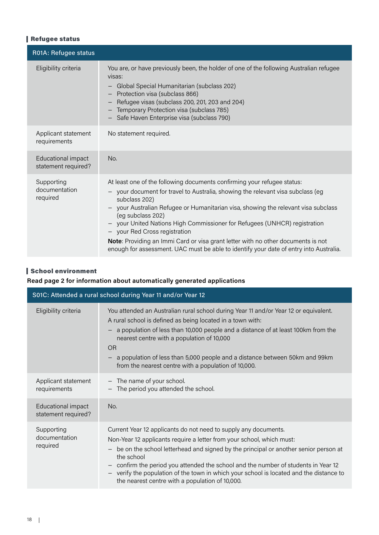# Refugee status

| R01A: Refugee status                      |                                                                                                                                                                                                                                                                                                                                                                                                                                                                                                                                                                                                                                           |
|-------------------------------------------|-------------------------------------------------------------------------------------------------------------------------------------------------------------------------------------------------------------------------------------------------------------------------------------------------------------------------------------------------------------------------------------------------------------------------------------------------------------------------------------------------------------------------------------------------------------------------------------------------------------------------------------------|
| Eligibility criteria                      | You are, or have previously been, the holder of one of the following Australian refugee<br>visas:<br>Global Special Humanitarian (subclass 202)<br>$\overline{\phantom{m}}$<br>Protection visa (subclass 866)<br>Refugee visas (subclass 200, 201, 203 and 204)<br>Temporary Protection visa (subclass 785)<br>Safe Haven Enterprise visa (subclass 790)                                                                                                                                                                                                                                                                                  |
| Applicant statement<br>requirements       | No statement required.                                                                                                                                                                                                                                                                                                                                                                                                                                                                                                                                                                                                                    |
| Educational impact<br>statement required? | No.                                                                                                                                                                                                                                                                                                                                                                                                                                                                                                                                                                                                                                       |
| Supporting<br>documentation<br>required   | At least one of the following documents confirming your refugee status:<br>your document for travel to Australia, showing the relevant visa subclass (eg<br>subclass 202)<br>your Australian Refugee or Humanitarian visa, showing the relevant visa subclass<br>$\overline{\phantom{m}}$<br>(eg subclass 202)<br>your United Nations High Commissioner for Refugees (UNHCR) registration<br>$\overline{\phantom{m}}$<br>your Red Cross registration<br>$-$<br>Note: Providing an Immi Card or visa grant letter with no other documents is not<br>enough for assessment. UAC must be able to identify your date of entry into Australia. |

# School environment

#### **Read page 2 for information about automatically generated applications**

| S01C: Attended a rural school during Year 11 and/or Year 12 |                                                                                                                                                                                                                                                                                                                                                                                                                                                                                                    |  |
|-------------------------------------------------------------|----------------------------------------------------------------------------------------------------------------------------------------------------------------------------------------------------------------------------------------------------------------------------------------------------------------------------------------------------------------------------------------------------------------------------------------------------------------------------------------------------|--|
| Eligibility criteria                                        | You attended an Australian rural school during Year 11 and/or Year 12 or equivalent.<br>A rural school is defined as being located in a town with:<br>a population of less than 10,000 people and a distance of at least 100km from the<br>nearest centre with a population of 10,000<br><b>OR</b><br>a population of less than 5,000 people and a distance between 50km and 99km<br>from the nearest centre with a population of 10,000.                                                          |  |
| Applicant statement<br>requirements                         | - The name of your school.<br>The period you attended the school.                                                                                                                                                                                                                                                                                                                                                                                                                                  |  |
| Educational impact<br>statement required?                   | No.                                                                                                                                                                                                                                                                                                                                                                                                                                                                                                |  |
| Supporting<br>documentation<br>required                     | Current Year 12 applicants do not need to supply any documents.<br>Non-Year 12 applicants require a letter from your school, which must:<br>be on the school letterhead and signed by the principal or another senior person at<br>$\qquad \qquad -$<br>the school<br>confirm the period you attended the school and the number of students in Year 12<br>verify the population of the town in which your school is located and the distance to<br>the nearest centre with a population of 10,000. |  |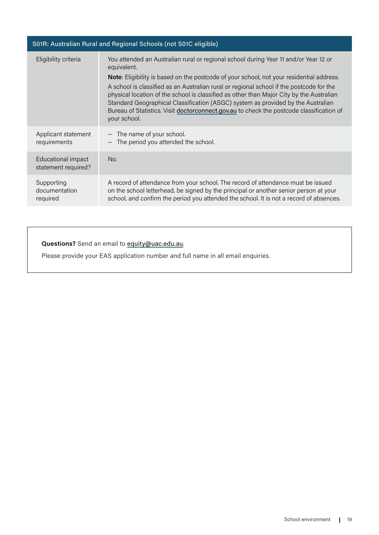| S01R: Australian Rural and Regional Schools (not S01C eligible)                                                                                                                                                                                                                                                                                                                                                                                                                                                                                                                                |  |  |
|------------------------------------------------------------------------------------------------------------------------------------------------------------------------------------------------------------------------------------------------------------------------------------------------------------------------------------------------------------------------------------------------------------------------------------------------------------------------------------------------------------------------------------------------------------------------------------------------|--|--|
| You attended an Australian rural or regional school during Year 11 and/or Year 12 or<br>equivalent.<br><b>Note:</b> Eligibility is based on the postcode of your school, not your residential address.<br>A school is classified as an Australian rural or regional school if the postcode for the<br>physical location of the school is classified as other than Major City by the Australian<br>Standard Geographical Classification (ASGC) system as provided by the Australian<br>Bureau of Statistics. Visit doctorconnect.gov.au to check the postcode classification of<br>your school. |  |  |
| - The name of your school.<br>- The period you attended the school.                                                                                                                                                                                                                                                                                                                                                                                                                                                                                                                            |  |  |
| No.                                                                                                                                                                                                                                                                                                                                                                                                                                                                                                                                                                                            |  |  |
| A record of attendance from your school. The record of attendance must be issued<br>on the school letterhead, be signed by the principal or another senior person at your<br>school, and confirm the period you attended the school. It is not a record of absences.                                                                                                                                                                                                                                                                                                                           |  |  |
|                                                                                                                                                                                                                                                                                                                                                                                                                                                                                                                                                                                                |  |  |

# **Questions?** Send an email to equity@uac.edu.au.

Please provide your EAS application number and full name in all email enquiries.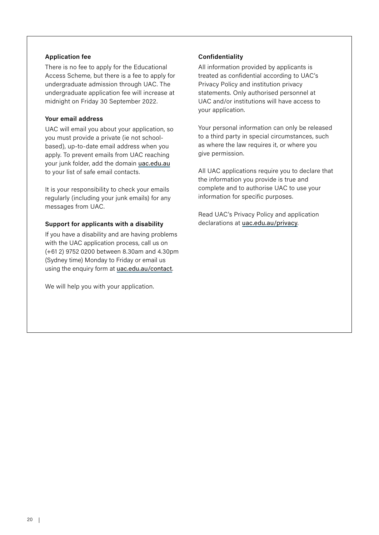#### **Application fee**

There is no fee to apply for the Educational Access Scheme, but there is a fee to apply for undergraduate admission through UAC. The undergraduate application fee will increase at midnight on Friday 30 September 2022.

#### **Your email address**

UAC will email you about your application, so you must provide a private (ie not schoolbased), up-to-date email address when you apply. To prevent emails from UAC reaching your junk folder, add the domain uac.edu.au to your list of safe email contacts.

It is your responsibility to check your emails regularly (including your junk emails) for any messages from UAC.

#### **Support for applicants with a disability**

If you have a disability and are having problems with the UAC application process, call us on (+61 2) 9752 0200 between 8.30am and 4.30pm (Sydney time) Monday to Friday or email us using the enquiry form at [uac.edu.au/contact](https://www.uac.edu.au/about/contact).

We will help you with your application.

#### **Confidentiality**

All information provided by applicants is treated as confidential according to UAC's Privacy Policy and institution privacy statements. Only authorised personnel at UAC and/or institutions will have access to your application.

Your personal information can only be released to a third party in special circumstances, such as where the law requires it, or where you give permission.

All UAC applications require you to declare that the information you provide is true and complete and to authorise UAC to use your information for specific purposes.

Read UAC's Privacy Policy and application declarations at uac.edu.au/privacy.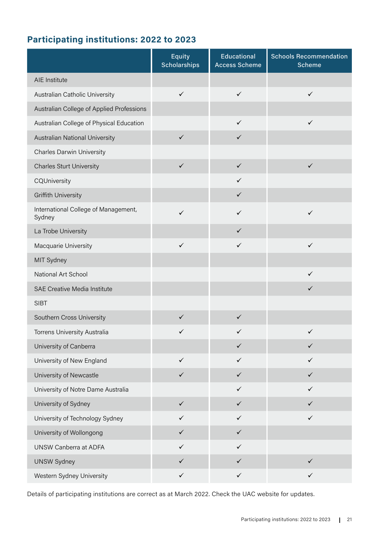# **Participating institutions: 2022 to 2023**

|                                                | Equity<br><b>Scholarships</b> | <b>Educational</b><br><b>Access Scheme</b> | <b>Schools Recommendation</b><br>Scheme |
|------------------------------------------------|-------------------------------|--------------------------------------------|-----------------------------------------|
| AIE Institute                                  |                               |                                            |                                         |
| Australian Catholic University                 | $\checkmark$                  | $\checkmark$                               | $\checkmark$                            |
| Australian College of Applied Professions      |                               |                                            |                                         |
| Australian College of Physical Education       |                               | $\checkmark$                               | $\checkmark$                            |
| Australian National University                 | $\checkmark$                  | $\checkmark$                               |                                         |
| <b>Charles Darwin University</b>               |                               |                                            |                                         |
| <b>Charles Sturt University</b>                | $\checkmark$                  | $\checkmark$                               | $\checkmark$                            |
| CQUniversity                                   |                               | $\checkmark$                               |                                         |
| <b>Griffith University</b>                     |                               | $\checkmark$                               |                                         |
| International College of Management,<br>Sydney | $\checkmark$                  | $\checkmark$                               | $\checkmark$                            |
| La Trobe University                            |                               | $\checkmark$                               |                                         |
| Macquarie University                           | $\checkmark$                  | $\checkmark$                               | ✓                                       |
| MIT Sydney                                     |                               |                                            |                                         |
| National Art School                            |                               |                                            | $\checkmark$                            |
| SAE Creative Media Institute                   |                               |                                            | $\checkmark$                            |
| <b>SIBT</b>                                    |                               |                                            |                                         |
| Southern Cross University                      | $\checkmark$                  | $\checkmark$                               |                                         |
| Torrens University Australia                   | $\checkmark$                  | ✓                                          | $\checkmark$                            |
| University of Canberra                         |                               | $\checkmark$                               | $\checkmark$                            |
| University of New England                      | $\checkmark$                  | $\checkmark$                               | $\checkmark$                            |
| University of Newcastle                        | $\checkmark$                  | $\checkmark$                               | $\checkmark$                            |
| University of Notre Dame Australia             |                               | $\checkmark$                               | $\checkmark$                            |
| University of Sydney                           | $\checkmark$                  | $\checkmark$                               | $\checkmark$                            |
| University of Technology Sydney                | $\checkmark$                  | $\checkmark$                               | $\checkmark$                            |
| University of Wollongong                       | $\checkmark$                  | $\checkmark$                               |                                         |
| UNSW Canberra at ADFA                          | $\checkmark$                  | $\checkmark$                               |                                         |
| <b>UNSW Sydney</b>                             | $\checkmark$                  | $\checkmark$                               | $\checkmark$                            |
| Western Sydney University                      | $\checkmark$                  | $\checkmark$                               | $\checkmark$                            |

Details of participating institutions are correct as at March 2022. Check the UAC website for updates.